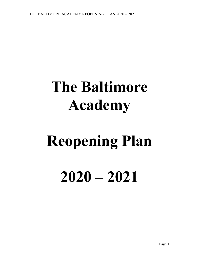## **The Baltimore Academy**

# **Reopening Plan 2020 – 2021**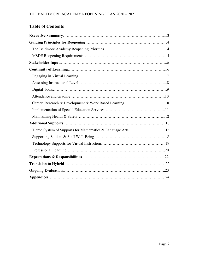## **Table of Contents**

| Career, Research & Development & Work Based Learning10      |  |
|-------------------------------------------------------------|--|
|                                                             |  |
|                                                             |  |
|                                                             |  |
| Tiered System of Supports for Mathematics & Language Arts16 |  |
|                                                             |  |
|                                                             |  |
|                                                             |  |
|                                                             |  |
|                                                             |  |
|                                                             |  |
|                                                             |  |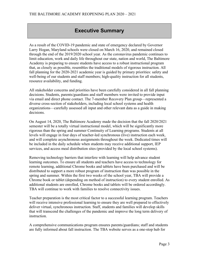## **Executive Summary**

As a result of the COVID-19 pandemic and state of emergency declared by Governor Larry Hogan, Maryland schools were closed on March 16, 2020, and remained closed through the end of the 2019/2020 school year. As the coronavirus pandemic continues to limit education, work and daily life throughout our state, nation and world, The Baltimore Academy is preparing to ensure students have access to a robust instructional program that, as closely as possible, resembles the traditional models of rigorous instruction. All fall planning for the 2020-2021 academic year is guided by primary priorities: safety and well-being of our students and staff members; high-quality instruction for all students, resource availability, and funding.

All stakeholder concerns and priorities have been carefully considered in all fall planning decisions. Students, parents/guardians and staff members were invited to provide input via email and direct phone contact. The 7-member Recovery Plan group—represented a diverse cross-section of stakeholders, including local school systems and health organizations—carefully assessed all input and other relevant data as a guide in making decisions.

On August 14, 2020, The Baltimore Academy made the decision that the fall 2020/2021 semester will be a totally virtual instructional model, which will be significantly more rigorous than the spring and summer Continuity of Learning programs. Students at all levels will engage in four days of teacher-led synchronous (live) instruction each week, and will complete asynchronous assignments throughout the week. Dedicated times will be included in the daily schedule when students may receive additional support, IEP services, and access meal distribution sites (provided by the local school systems).

Removing technology barriers that interfere with learning will help advance student learning outcomes. To ensure all students and teachers have access to technology for remote learning, additional Chrome books and tablets have been purchased and will be distributed to support a more robust program of instruction than was possible in the spring and summer. Within the first two weeks of the school year, TBA will provide a Chrome book or tablet (depending on method of instruction) to every student enrolled. As additional students are enrolled, Chrome books and tablets will be ordered accordingly. TBA will continue to work with families to resolve connectivity issues.

Teacher preparation is the most critical factor to a successful learning program. Teachers will receive intensive professional learning to ensure they are well prepared to effectively deliver virtual, synchronous instruction. Staff, students and families will develop skills that will transcend the challenges of the pandemic and improve the long term delivery of instruction.

A comprehensive communications program ensures parents/guardians; staff and students are fully informed about fall instruction. The TBA website serves as a one-stop hub for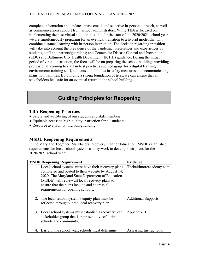complete information and updates, mass email, and selective in-person outreach, as well as communications support from school administrators. While TBA is focused on implementing the best virtual solution possible for the start of the 2020/2021 school year, we are simultaneously preparing for an eventual transition to a hybrid model that will combine distance learning with in-person instruction. The decision regarding transition will take into account the prevalence of the pandemic; preferences and experiences of students, staff and parents/guardians; and Centers for Disease Control and Prevention (CDC) and Baltimore City Health Department (BCHD) guidance. During the initial period of virtual instruction, the focus will be on preparing the school building; providing professional learning to staff in best practices and pedagogy for a digital learning environment; training staff, students and families in safety measures; and communicating plans with families. By building a strong foundation of trust, we can ensure that all stakeholders feel safe for an eventual return to the school building.

## **Guiding Principles for Reopening**

#### **TBA Reopening Priorities**

- Safety and well-being of our students and staff members
- Equitable access to high-quality instruction for all students
- Resource availability, including funding

#### **MSDE Reopening Requirements**

In the Maryland Together: Maryland's Recovery Plan for Education, MSDE established requirements for local school systems as they work to develop their plans for the 2020/2021 school year:

| <b>MSDE Reopening Requirement</b>                                                                                                                                                                                                                                                                         | <b>Evidence</b>            |
|-----------------------------------------------------------------------------------------------------------------------------------------------------------------------------------------------------------------------------------------------------------------------------------------------------------|----------------------------|
| 1. Local school systems must have their recovery plans<br>completed and posted to their website by August 14,<br>2020. The Maryland State Department of Education<br>(MSDE) will review all local recovery plans to<br>ensure that the plans include and address all<br>requirements for opening schools. | Thebaltimoreacademy.com    |
| 2. The local school system's equity plan must be<br>reflected throughout the local recovery plan.                                                                                                                                                                                                         | <b>Additional Supports</b> |
| 3. Local school systems must establish a recovery plan<br>stakeholder group that is representative of their<br>schools and community.                                                                                                                                                                     | Appendix B                 |
| Early in the school year, schools must determine                                                                                                                                                                                                                                                          | Assessing Instructional    |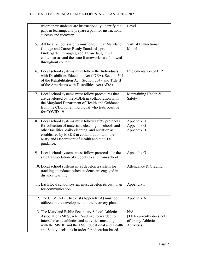|                     | where their students are instructionally, identify the<br>gaps in learning, and prepare a path for instructional<br>success and recovery.                                                                                                                        | Level                                                               |
|---------------------|------------------------------------------------------------------------------------------------------------------------------------------------------------------------------------------------------------------------------------------------------------------|---------------------------------------------------------------------|
| throughout content. | 5. All local school systems must ensure that Maryland<br>College and Career Ready Standards, pre-<br>kindergarten through grade 12, are taught in all<br>content areas and the state frameworks are followed                                                     | Virtual Instructional<br>Model                                      |
|                     | 6. Local school systems must follow the Individuals<br>with Disabilities Education Act (IDEA), Section 504<br>of the Rehabilitation Act (Section 504), and Title II<br>of the Americans with Disabilities Act (ADA).                                             | Implementation of IEP                                               |
| for COVID-19.       | 7. Local school systems must follow procedures that<br>are developed by the MSDE in collaboration with<br>the Maryland Department of Health and Guidance<br>from the CDC for an individual who tests positive                                                    | Maintaining Health &<br>Safety                                      |
| guidance.           | 8. Local school systems must follow safety protocols<br>for collection of materials, cleaning of schools and<br>other facilities, daily cleaning, and nutrition as<br>established by MSDE in collaboration with the<br>Maryland Department of Health and the CDC | Appendix D<br>Appendix G<br>Appendix H                              |
|                     | 9. Local school systems must follow protocols for the<br>safe transportation of students to and from school.                                                                                                                                                     | Appendix G                                                          |
| distance learning.  | 10. Local school systems must develop a system for<br>tracking attendance when students are engaged in                                                                                                                                                           | Attendance & Grading                                                |
| for communication.  | 11. Each local school system must develop its own plan                                                                                                                                                                                                           | Appendix I                                                          |
|                     | 12. The COVID-19 Checklist (Appendix A) must be<br>utilized in the development of the recovery plan.                                                                                                                                                             | Appendix A                                                          |
|                     | 13. The Maryland Public Secondary School Athletic<br>Association (MPSSAA) Roadmap forwarded for<br>interscholastic athletics and activities must align<br>with the MSDE and the LSS Educational and Health<br>and Safety decisions in order for education-based  | N/A<br>(TBA currently does not<br>offer any Athletic<br>Activities) |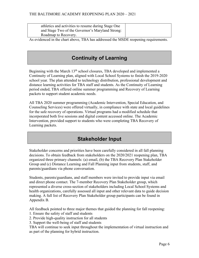| athletics and activities to resume during Stage One |  |
|-----------------------------------------------------|--|
| and Stage Two of the Governor's Maryland Strong:    |  |
| Roadmap to Recovery.                                |  |

As evidenced in the chart above, TBA has addressed the MSDE reopening requirements.

## **Continuity of Learning**

Beginning with the March  $13<sup>th</sup>$  school closures, TBA developed and implemented a Continuity of Learning plan, aligned with Local School Systems to finish the 2019-2020 school year. The plan attended to technology distribution, professional development and distance learning activities for TBA staff and students. As the Continuity of Learning period ended, TBA offered online summer programming and Recovery of Learning packets to support student academic needs.

All TBA 2020 summer programming (Academic Intervention, Special Education, and Counseling Services) were offered virtually, in compliance with state and local guidelines for the safe recovery of operations. Virtual programs had a modified schedule that incorporated both live sessions and digital content accessed online. The Academic Intervention, provided support to students who were completing TBA Recovery of Learning packets.

## **Stakeholder Input**

Stakeholder concerns and priorities have been carefully considered in all fall planning decisions. To obtain feedback from stakeholders on the 2020/2021 reopening plan, TBA organized three primary channels: (a) email, (b) the TBA Recovery Plan Stakeholder Group and (c) Distance Learning and Fall Planning input from students, staff, and parents/guardians via phone conversation.

Students, parents/guardians, and staff members were invited to provide input via email and direct phone contact. The 7-member Recovery Plan Stakeholder group, which represented a diverse cross-section of stakeholders including Local School Systems and health organizations, carefully assessed all input and other relevant data to guide decision making. A full list of Recovery Plan Stakeholder group participants can be found in Appendix B.

All feedback pointed to three major themes that guided the planning for fall reopening:

- 1. Ensure the safety of staff and students
- 2. Provide high-quality instruction for all students
- 3. Support the well-being of staff and students

TBA will continue to seek input throughout the implementation of virtual instruction and as part of the planning for hybrid instruction.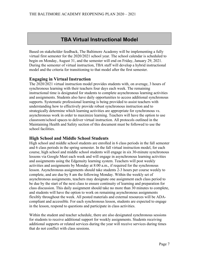## **TBA Virtual Instructional Model**

Based on stakeholder feedback, The Baltimore Academy will be implementing a fully virtual first semester for the 2020/2021 school year. The school calendar is scheduled to begin on Monday, August 31, and the semester will end on Friday, January 29, 2021. During the semester of virtual instruction, TBA staff will develop a hybrid instructional model and the criteria for transitioning to that model after the first semester.

#### **Engaging in Virtual Instruction**

The 2020/2021 virtual instruction model provides students with, on average, 3 hours of synchronous learning with their teachers four days each week. The remaining instructional time is designated for students to complete asynchronous learning activities and assignments. Students also have daily opportunities to access additional synchronous supports. Systematic professional learning is being provided to assist teachers with understanding how to effectively provide robust synchronous instruction and to strategically determine which learning activities are appropriate for synchronous vs. asynchronous work in order to maximize learning. Teachers will have the option to use classroom/school spaces to deliver virtual instruction. All protocols outlined in the Maintaining Health and Safety section of this document must be followed to use the school facilities.

#### **High School and Middle School Students**

High school and middle school students are enrolled in 6 class periods in the fall semester and 6 class periods in the spring semester. In the fall virtual instruction model, for each course, high school and middle school students will engage in six 30-minute synchronous lessons via Google Meet each week and will engage in asynchronous learning activities and assignments using the Edgenuity learning system. Teachers will post weekly activities and assignments by Monday at 8:00 a.m., if required for the synchronous lesson. Asynchronous assignments should take students 2-3 hours per course weekly to complete, and are due by 8 am the following Monday. Within the weekly set of asynchronous assignments, teachers may designate one assignment each class period to be due by the start of the next class to ensure continuity of learning and preparation for class discussion. This daily assignment should take no more than 30 minutes to complete, and students will have the option to work on remaining asynchronous assignments flexibly throughout the week. All posted materials and external resources will be ADAcompliant and accessible. For each synchronous lesson, students are expected to engage in the lesson, respond to questions and participate in class activities.

Within the student and teacher schedule, there are also designated synchronous sessions for students to receive additional support for weekly assignments. Students receiving additional supports or related services during the year will receive services during times that do not conflict with class sessions.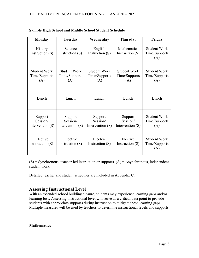| <b>Monday</b>                               | Tuesday                                   | Wednesday                                   | <b>Thursday</b>                             | Friday                                      |
|---------------------------------------------|-------------------------------------------|---------------------------------------------|---------------------------------------------|---------------------------------------------|
| <b>History</b><br>Instruction (S)           | Science<br>Instruction $(S)$              | English<br>Instruction $(S)$                | Mathematics<br>Instruction (S)              | <b>Student Work</b><br>Time/Supports<br>(A) |
| <b>Student Work</b><br>Time/Supports<br>(A) | Student Work<br>Time/Supports<br>(A)      | <b>Student Work</b><br>Time/Supports<br>(A) | <b>Student Work</b><br>Time/Supports<br>(A) | Student Work<br>Time/Supports<br>(A)        |
| Lunch                                       | Lunch                                     | Lunch                                       | Lunch                                       | Lunch                                       |
| Support<br>Session/<br>Intervention $(S)$   | Support<br>Session/<br>Intervention $(S)$ | Support<br>Session/<br>Intervention (S)     | Support<br>Session/<br>Intervention $(S)$   | <b>Student Work</b><br>Time/Supports<br>(A) |
| Elective<br>Instruction $(S)$               | Elective<br>Instruction $(S)$             | Elective<br>Instruction $(S)$               | Elective<br>Instruction (S)                 | Student Work<br>Time/Supports<br>(A)        |

#### **Sample High School and Middle School Student Schedule**

 $(S)$  = Synchronous, teacher-led instruction or supports.  $(A)$  = Asynchronous, independent student work.

Detailed teacher and student schedules are included in Appendix C.

#### **Assessing Instructional Level**

With an extended school building closure, students may experience learning gaps and/or learning loss. Assessing instructional level will serve as a critical data point to provide students with appropriate supports during instruction to mitigate these learning gaps. Multiple measures will be used by teachers to determine instructional levels and supports.

#### **Mathematics**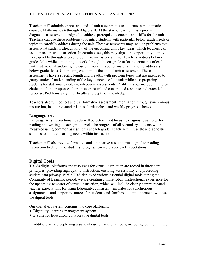Teachers will administer pre- and end-of-unit assessments to students in mathematics courses, Mathematics 6 through Algebra II. At the start of each unit is a pre-unit diagnostic assessment, designed to address prerequisite concepts and skills for the unit. Teachers can use these problems to identify students with particular below-grade needs or topics to carefully address during the unit. These assessments may include problems that assess what students already know of the upcoming unit's key ideas, which teachers can use to pace or tune instruction. In certain cases, this may signal the opportunity to move more quickly through a topic to optimize instructional time. Teachers address belowgrade skills while continuing to work through the on-grade tasks and concepts of each unit, instead of abandoning the current work in favor of material that only addresses below-grade skills. Completing each unit is the end-of-unit assessment. These assessments have a specific length and breadth, with problem types that are intended to gauge students' understanding of the key concepts of the unit while also preparing students for state-mandated, end-of-course assessments. Problem types include multiplechoice, multiple response, short answer, restricted constructed response and extended response. Problems vary in difficulty and depth of knowledge.

Teachers also will collect and use formative assessment information through synchronous instruction, including standards-based exit tickets and weekly progress checks.

#### **Language Arts**

Language Arts instructional levels will be determined by using diagnostic samples for reading and writing at each grade level. The progress of all secondary students will be measured using common assessments at each grade. Teachers will use these diagnostic samples to address learning needs within instruction.

Teachers will also review formative and summative assessments aligned to reading instruction to determine students' progress toward grade-level expectations.

#### **Digital Tools**

TBA's digital platforms and resources for virtual instruction are rooted in three core principles: providing high quality instruction, ensuring accessibility and protecting student data privacy. While TBA deployed various essential digital tools during the Continuity of Learning period, we are creating a more robust instructional experience for the upcoming semester of virtual instruction, which will include clearly communicated teacher expectations for using Edgenuity, consistent templates for synchronous assignments, and support resources for students and families to communicate how to use the digital tools.

Our digital ecosystem contains two core platforms:

- Edgenuity: learning management system
- G Suite for Education: collaborative digital tools

In addition, we are deploying a suite of curricular digital tools, including, but not limited to: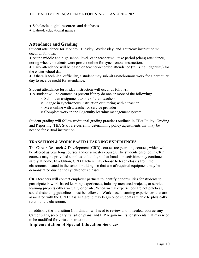- Scholastic: digital resources and databases
- Kahoot: educational games

#### **Attendance and Grading**

Student attendance for Monday, Tuesday, Wednesday, and Thursday instruction will occur as follows:

● At the middle and high school level, each teacher will take period (class) attendance, noting whether students were present online for synchronous instruction.

● Daily attendance will be based on teacher-recorded attendance (utilizing Edgenuity) for the entire school day.

• if there is technical difficulty, a student may submit asynchronous work for a particular day to receive credit for attendance.

Student attendance for Friday instruction will occur as follows:

- A student will be counted as present if they do one or more of the following:
	- Submit an assignment to one of their teachers
	- Engage in synchronous instruction or tutoring with a teacher
	- Meet online with a teacher or service provider
	- Complete work in the Edgenuity learning management system

Student grading will follow traditional grading practices outlined in TBA Policy: Grading and Reporting. TBA Staff are currently determining policy adjustments that may be needed for virtual instruction.

#### **TRANSITION & WORK BASED LEARNING EXPERIENCES**

The Career, Research & Development (CRD) courses are year long courses, which will be offered as year long courses and/or semester courses. The students enrolled in CRD courses may be provided supplies and tools, so that hands-on activities may continue safely at home. In addition, CRD teachers may choose to teach classes from the classrooms located in the school building, so that use of required equipment may be demonstrated during the synchronous classes.

CRD teachers will contact employer partners to identify opportunities for students to participate in work-based learning experiences, industry-mentored projects, or service learning projects either virtually or onsite. When virtual experiences are not practical, social distancing guidelines must be followed. Work-based learning experiences that are associated with the CRD class as a group may begin once students are able to physically return to the classroom.

In addition, the Transition Coordinator will need to review and if needed, address any Career plans, secondary transition plans, and IEP requirements for students that may need to be modified for virtual instruction.

#### **Implementation of Special Education Services**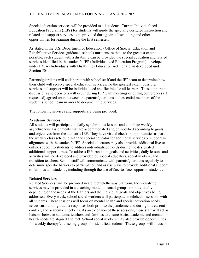#### THE BALTIMORE ACADEMY REOPENING PLAN 2020 – 2021

Special education services will be provided to all students. Current Individualized Education Programs (IEPs) for students will guide the specially designed instruction and related and support services to be provided during virtual schooling and other opportunities for learning during the first semester.

As stated in the U.S. Department of Education - Office of Special Education and Rehabilitative Services guidance, schools must ensure that "to the greatest extent possible, each student with a disability can be provided the special education and related services identified in the student's IEP (Individualized Education Program) developed under IDEA (Individuals with Disabilities Education Act), or a plan developed under Section 504."

Parents/guardians will collaborate with school staff and the IEP team to determine how their child will receive special education services. To the greatest extent possible, services and support will be individualized and flexible for all learners. These important discussions and decisions will occur during IEP team meetings or during conferences (if requested) agreed upon between the parents/guardians and essential members of the student's school team in order to document the services.

The following services and supports are being provided:

#### **Academic Services**

All students will participate in daily synchronous lessons and complete weekly asynchronous assignments that are accommodated and/or modified according to goals and objectives from the student's IEP. They have virtual check-in opportunities as part of the weekly class schedule with the special educator for additional services or support in alignment with the student's IEP. Special educators may also provide additional live or online support to students to address individualized needs during the designated additional support times. To address IEP transition goals and activities, daily lessons and activities will be developed and provided by special educators, social workers, and transition teachers. School staff will communicate with parents/guardians regularly to determine specific barriers to participation and assess ways to provide additional support to families and students, including through the use of face-to-face support to students.

#### **Related Services**

Related Services, will be provided in a direct teletherapy platform. Individualized services may be provided in a coaching model, in small groups, or individually depending on the needs of the learners and the individual goals and objectives being addressed. Every week, school social workers will participate in telehealth sessions with all students. These sessions will focus on mental health and special education needs, issues surrounding trauma responses both prior to the pandemic and during this current context, and academic check-ins. As an extension of these sessions, those staff will act as liaisons between students, teachers and families to ensure basic, academic and mental health needs are aligned and met. School social workers may also provide opportunities for weekly therapy/counseling groups for identified students. These groups will focus on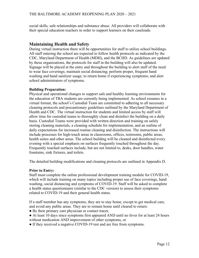social skills, safe relationships and substance abuse. All providers will collaborate with their special education teachers in order to support learners on their caseloads.

#### **Maintaining Health and Safety**

During virtual instruction there will be opportunities for staff to utilize school buildings. All staff entering the school are expected to follow health protocols as indicated by the CDC, Maryland Department of Health (MDH), and the BCHD. As guidelines are updated by these organizations, the protocols for staff in the building will also be updated. Signage will be placed at the entry and throughout the building to alert staff of the need to wear face coverings; maintain social distancing; perform proper, frequent hand washing and hand sanitizer usage; to return home if experiencing symptoms; and alert school administrators of symptoms.

#### **Building Preparation:**

Physical and operational changes to support safe and healthy learning environments for the education of TBA students are currently being implemented. As school resumes in a virtual format, the school's Custodial Team are committed to adhering to all necessary cleaning protocols and precautionary guidelines outlined by the Maryland Department of Health and CDC. The virtual instruction for students and limited access by staff will allow time for custodial teams to thoroughly clean and disinfect the building on a daily basis. Custodial Teams were provided with written direction and training on safely storing cleaning materials, a cleaning schedule for implementation, and an outline of daily expectations for increased routine cleaning and disinfection. The instructions will include processes for high-touch areas in classrooms, offices, restrooms, public areas, health suites and other areas. The school building will be cleaned and disinfected every evening with a special emphasis on surfaces frequently touched throughout the day. Frequently touched surfaces include, but are not limited to, desks, door handles, water fountains, sink fixtures, and toilets.

The detailed building modifications and cleaning protocols are outlined in Appendix D.

#### **Prior to Entry:**

Staff must complete the online professional development training module for COVID-19, which will include training on many topics including proper use of face coverings, hand washing, social distancing and symptoms of COVID-19. Staff will be asked to complete a health status questionnaire (similar to the CDC version) to assess their symptoms related to COVID-19 and their general health status.

If a staff member has any symptoms, they are to stay home, except to get medical care, and avoid any public areas. They are to remain home until cleared to return:

- By their primary care physician or contact tracer,
- At least 10 days since symptoms first appeared AND until no fever for at least 24 hours without medication AND improvement of other symptoms, or
- If they received a negative COVID-19 test and are free from symptoms.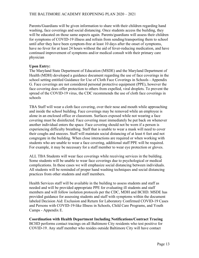Parents/Guardians will be given information to share with their children regarding hand washing, face coverings and social distancing. Once students access the building, they will be educated on those same aspects again. Parents/guardians will assess their children for symptoms of COVID-19 illness and refrain from sending/transporting them to school until after they have been symptom-free at least 10 days after the onset of symptoms, have no fever for at least 24 hours without the aid of fever-reducing medication, and have continued improvement of symptoms and/or medical consult with their primary care physician

#### **Upon Entry:**

The Maryland State Department of Education (MSDE) and the Maryland Department of Health (MDH) developed a guidance document regarding the use of face coverings in the school setting entitled Guidance for Use of Cloth Face Coverings in Schools - Appendix G. Face coverings are not considered personal protective equipment (PPE), however the face covering does offer protection to others from expelled, viral droplets. To prevent the spread of the COVID-19 virus, the CDC recommends the use of cloth face coverings in schools

TBA Staff will wear a cloth face covering, over their nose and mouth while approaching and inside the school building. Face coverings may be removed while an employee is alone in an enclosed office or classroom. Surfaces exposed while not wearing a face covering must be disinfected. Face covering must immediately be put back on whenever another individual enters the space. Face covering should not be worn if a person is experiencing difficulty breathing. Staff that is unable to wear a mask will need to cover their coughs and sneezes. Staff will maintain social distancing of at least 6 feet and not congregate in the building. When close interactions are required or when working with students who are unable to wear a face covering, additional staff PPE will be required. For example, it may be necessary for a staff member to wear eye protection or gloves.

ALL TBA Students will wear face coverings while receiving services in the building. Some students will be unable to wear face coverings due to psychological or medical complications. In these cases we will emphasize social distancing between individuals. All students will be reminded of proper hand washing techniques and social distancing practices from other students and staff members.

Health Services staff will be available in the building to assess students and staff as needed and will be provided appropriate PPE for evaluating ill students and staff members and will follow isolation protocols per the CDC, MDH and BCHD. MSDE has provided guidance for assessing students and staff with symptoms within the document labeled Decision Aid: Exclusion and Return for Laboratory Confirmed COVID-19 Cases and Persons with COVID-19-like Illness in Schools, Child Care Programs, and Youth Camps - Appendix E.

**Coordination with Health Department Including Notifications/Contract Tracing** BCHD performs contact tracings on all Baltimore City residents who test positive for COVID-19. Any staff member who resides outside Baltimore City will have contact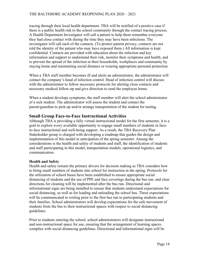tracing through their local health department. TBA will be notified of a positive case if there is a public health risk to the school community through the contact tracing process. A Health Department Investigator will call a patient to help them remember everyone they had close contact with during the time they may have been infectious. The investigator will call each of the contacts. (To protect patient privacy, contacts are not told the identity of the patient who may have exposed them.) All information is kept confidential. Contacts are provided with education about the infection and key information and support to understand their risk, monitor their symptoms and health, and to prevent the spread of the infection in their households, workplaces and community by staying home and maintaining social distance or wearing appropriate personal protection.

When a TBA staff member becomes ill and alerts an administrator, the administrator will contact the company's head of infection control. Head of infection control will discuss with the administrator to follow necessary protocols for alerting close contacts and necessary medical follow-up and give direction to send the employee home.

When a student develops symptoms, the staff member will alert the school administrator of a sick student. The administrator will assess the student and contact the parent/guardian to pick-up and/or arrange transportation of the student for testing.

#### **Small Group Face-to-Face Instructional Activities**

Although TBA is providing a fully virtual instructional model for the first semester, it is a goal to explore every available opportunity to engage small numbers of students in faceto-face instructional and well-being support. As a result, the TBA Recovery Plan Stakeholder group is charged with developing a roadmap that guides the design and implementation of this model in anticipation of the spring semester. Among the considerations is the health and safety of students and staff, the identification of students and staff participating in this model, transportation models, operational logistics, and communication.

#### **Health and Safety**

Health and safety remain the primary drivers for decision making as TBA considers how to bring small numbers of students into school for instruction in the spring. Protocols for the utilization of school buses have been established to ensure appropriate social distancing of students and the use of PPE and face coverings during the bus run, and clear directions for cleaning will be implemented after the bus run. Directional and informational signs are being installed to ensure that students understand expectations for social distancing, as well as for loading and unloading the school bus. These expectations will be communicated in writing prior to the first bus run to participating students and their families. School administrators will develop expectations for the safe movement of students from the bus to their instructional spaces with respect to social distancing guidelines.

Prior to students entering the school, school administrators will designate instructional and non-instructional space for use, ensuring that the arrangement of learning spaces complies with social distancing guidelines. Directional and informational signs will be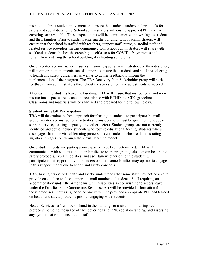installed to direct student movement and ensure that students understand protocols for safety and social distancing. School administrators will ensure approved PPE and face coverings are available. These expectations will be communicated, in writing, to students and their families. Prior to students entering the building, school administrators will ensure that the school is staffed with teachers, support staff, nurse, custodial staff and related service providers. In this communication, school administrators will share with staff and students the health screening to self assess for COVID-19 symptoms and to refrain from entering the school building if exhibiting symptoms

Once face-to-face instruction resumes in some capacity, administrators, or their designee, will monitor the implementation of support to ensure that students and staff are adhering to health and safety guidelines, as well as to gather feedback to inform the implementation of the program. The TBA Recovery Plan Stakeholder group will seek feedback from administrators throughout the semester to make adjustments as needed.

After each time students leave the building, TBA will ensure that instructional and noninstructional spaces are cleaned in accordance with BCHD and CDC guidelines. Classrooms and materials will be sanitized and prepared for the following day.

#### **Student and Staff Participation**

TBA will determine the best approach for phasing in students to participate in small group face-to-face instructional activities. Considerations must be given to the scope of support service, staffing, capacity, and other factors. Student groups are not currently identified and could include students who require educational testing, students who are disengaged from the virtual learning process, and/or students who are demonstrating significant regression through the virtual learning model.

Once student needs and participation capacity have been determined, TBA will communicate with students and their families to share program goals, explain health and safety protocols, explain logistics, and ascertain whether or not the student will participate in this opportunity. It is understood that some families may opt not to engage in this support model due to health and safety concerns.

TBA, having prioritized health and safety, understands that some staff may not be able to provide onsite face-to-face support to small numbers of students. Staff requiring an accommodation under the Americans with Disabilities Act or wishing to access leave under the Families First Coronavirus Response Act will be provided information for those processes. Staff assigned to be on-site will be provided appropriate PPE and trained on health and safety protocols prior to engaging with students

Health Services staff will be on hand in the buildings to assist in monitoring health protocols including the usage of face coverings and PPE, social distancing, and assessing any symptomatic students and/or staff.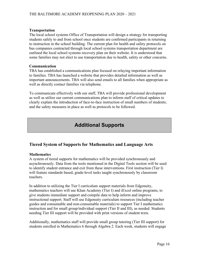#### **Transportation**

The local school systems Office of Transportation will design a strategy for transporting students safely to and from school once students are confirmed participants in returning to instruction in the school building. The current plan for health and safety protocols on bus companies contracted through local school systems transportation department are outlined the local school systems recovery plan on their website. It is understood that some families may not elect to use transportation due to health, safety or other concerns.

#### **Communication**

TBA has established a communications plan focused on relaying important information to families. TBA has launched a website that provides detailed information as well as important announcements. TBA will also send emails to all families when appropriate as well as directly contact families via telephone.

To communicate effectively with our staff, TBA will provide professional development as well as utilize our current communications plan to inform staff of critical updates to clearly explain the introduction of face-to-face instruction of small numbers of students; and the safety measures in place as well as protocols to be followed.

## **Additional Supports**

#### **Tiered System of Supports for Mathematics and Language Arts**

#### **Mathematics**

A system of tiered supports for mathematics will be provided synchronously and asynchronously. Data from the tools mentioned in the Digital Tools section will be used to identify student entrance and exit from these interventions. First instruction (Tier I) will feature standards based, grade-level tasks taught synchronously by classroom teachers.

In addition to utilizing the Tier I curriculum support materials from Edgenuity, mathematics teachers will use Khan Academy (Tier I) and iExcel online programs, to give students immediate support and compile data to help inform and improve instructional support. Staff will use Edgenuity curriculum resources (including teacher guides and consumable and non-consumable materials) to support Tier I mathematics instruction and for small group/individual support (Tier II and III), as needed. Students needing Tier III support will be provided with print versions of student texts.

Additionally, mathematics staff will provide small group tutoring (Tier III support) for students enrolled in Mathematics 6 through Algebra 2. Each week, students will engage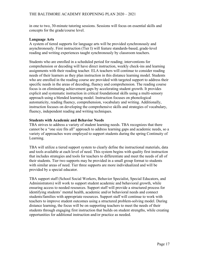in one to two, 30-minute tutoring sessions. Sessions will focus on essential skills and concepts for the grade/course level.

#### **Language Arts**

A system of tiered supports for language arts will be provided synchronously and asynchronously. First instruction (Tier I) will feature standards-based, grade-level reading and writing experiences taught synchronously by classroom teachers.

Students who are enrolled in a scheduled period for reading; interventions for comprehension or decoding will have direct instruction, weekly check-ins and learning assignments with their reading teacher. ELA teachers will continue to consider reading needs of their learners as they plan instruction in this distance learning model. Students who are enrolled in the reading course are provided with targeted support to address their specific needs in the areas of decoding, fluency and comprehension. The reading course focus is on eliminating achievement gaps by accelerating student growth. It provides explicit and systematic instruction in critical foundational skills using a multi-sensory approach using a blended learning model. Instruction focuses on phonological automaticity, reading fluency, comprehension, vocabulary and writing. Additionally, instruction focuses on developing the comprehensive skills and strategies of vocabulary, fluency, independent reading and writing techniques.

#### **Students with Academic and Behavior Needs**

TBA strives to address a variety of student learning needs. TBA recognizes that there cannot be a "one size fits all" approach to address learning gaps and academic needs, so a variety of approaches were employed to support students during the spring Continuity of Learning.

TBA will utilize a tiered support system to clearly define the instructional materials, data and tools available at each level of need. This system begins with quality first instruction that includes strategies and tools for teachers to differentiate and meet the needs of all of their students. Tier two supports may be provided in a small group format to students with similar areas of need. Tier three supports are more individualized and will be provided by a special educator.

TBA support staff (School Social Workers, Behavior Specialist, Special Educators, and Administrators) will work to support student academic and behavioral growth, while ensuring access to needed resources. Support staff will provide a structured process for identifying students' mental health, academic and/or behavioral needs and connect students/families with appropriate resources. Support staff will continue to work with teachers to improve student outcomes using a structured problem-solving model. During distance learning, the focus will be on supporting teachers to meet the needs of their students through engaging first instruction that builds on student strengths, while creating opportunities for additional instruction and/or practice as needed.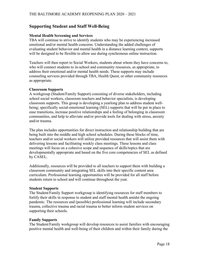#### **Supporting Student and Staff Well-Being**

#### **Mental Health Screening and Services**

TBA will continue to strive to identify students who may be experiencing increased emotional and/or mental health concerns. Understanding the added challenges of evaluating student behavior and mental health in a distance learning context, supports will be designed to be flexible to allow use during synchronous online instruction.

Teachers will then report to Social Workers, students about whom they have concerns to, who will connect students to in-school and community resources, as appropriate, to address their emotional and/or mental health needs. These supports may include counseling services provided through TBA, Health Quest, or other community resources as appropriate.

#### **Classroom Supports**

A workgroup (Student/Family Support) consisting of diverse stakeholders, including school social workers, classroom teachers and behavior specialists, is developing classroom supports. This group is developing a yearlong plan to address student wellbeing; specifically social-emotional learning (SEL) supports that will be put in place to ease transitions, increase positive relationships and a feeling of belonging in classroom communities, and help to alleviate and/or provide tools for dealing with stress, anxiety and/or trauma.

The plan includes opportunities for direct instruction and relationship building that are being built into the middle and high school schedules. During these blocks of time, teachers and/or social workers will utilize provided resources that will assist them with delivering lessons and facilitating weekly class meetings. These lessons and class meetings will focus on a cohesive scope and sequence of skills/topics that are developmentally appropriate and based on the five core competencies of SEL as defined by CASEL.

Additionally, resources will be provided to all teachers to support them with building a classroom community and integrating SEL skills into their specific content area curriculum. Professional learning opportunities will be provided for all staff before students return to school and will continue throughout the year.

#### **Student Supports**

The Student/Family Support workgroup is identifying resources for staff members to fortify their skills in response to student and staff mental health amidst the ongoing pandemic. The resources and (possible) professional learning will include secondary trauma, collective trauma and racial trauma to better inform student services on supporting their schools.

#### **Family Supports**

The Student/Family workgroup will develop resources to assist families with encouraging positive mental health and well-being of their children and within their family during the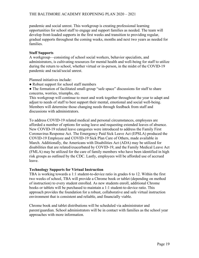pandemic and social unrest. This workgroup is creating professional learning opportunities for school staff to engage and support families as needed. The team will develop front-loaded supports in the first weeks and transition to providing regular, gradual supports throughout the coming weeks, months and next two years as needed for families.

#### **Staff Supports**

A workgroup—consisting of school social workers, behavior specialists, and administrators, is cultivating resources for mental health and well-being for staff to utilize during the return to school, whether virtual or in-person, in the midst of the COVID-19 pandemic and racial/social unrest.

Planned initiatives include:

- Robust support for school staff members
- The formation of facilitated small-group "safe space" discussions for staff to share concerns, worries, triumphs, etc.

This workgroup will continue to meet and work together throughout the year to adapt and adjust to needs of staff to best support their mental, emotional and social well-being. Members will determine those changing needs through feedback from staff and discussions with administrators.

To address COVID-19 related medical and personal circumstances, employees are afforded a number of options for using leave and requesting extended leaves of absence. New COVID-19 related leave categories were introduced to address the Family First Coronavirus Response Act. The Emergency Paid Sick Leave Act (EPSLA) produced the COVID-19 Employee and COVID-19 Sick Plan Care of Others, made available in March. Additionally, the Americans with Disabilities Act (ADA) may be utilized for disabilities that are related/exacerbated by COVID-19, and the Family Medical Leave Act (FMLA) may be utilized for the care of family members who have been identified in high risk groups as outlined by the CDC. Lastly, employees will be afforded use of accrued leave.

#### **Technology Supports for Virtual Instruction**

TBA is working towards a 1:1 student-to-device ratio in grades 6 to 12. Within the first two weeks of school, TBA will provide a Chrome book or tablet (depending on method of instruction) to every student enrolled. As new students enroll, additional Chrome books or tablets will be purchased to maintain a 1:1 student-to-device ratio. This approach provides the foundation for a robust, collaborative and safe virtual instruction environment that is consistent and reliable, and financially viable.

Chrome book and tablet distributions will be scheduled via administrator and parent/guardian. School administrators will be in contact with families as the school year approaches with more information.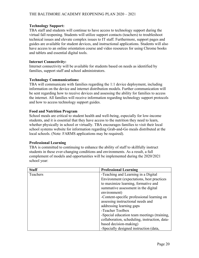#### **Technology Support:**

TBA staff and students will continue to have access to technology support during the virtual fall reopening. Students will utilize support contacts (teachers) to troubleshoot technical issues and elevate complex issues to IT staff. Furthermore, support pages and guides are available for student devices, and instructional applications. Students will also have access to an online orientation course and video resources for using Chrome books and tablets and essential digital tools.

#### **Internet Connectivity:**

Internet connectivity will be available for students based on needs as identified by families, support staff and school administrators.

#### **Technology Communications:**

TBA will communicate with families regarding the 1:1 device deployment, including information on the device and internet distribution models. Further communication will be sent regarding how to receive devices and assessing the ability for families to access the internet. All families will receive information regarding technology support protocols and how to access technology support guides.

#### **Food and Nutrition Program**

School meals are critical to student health and well-being, especially for low-income students, and it is essential that they have access to the nutrition they need to learn, whether physically in school or virtually. TBA encourages families to visit their local school systems website for information regarding Grab-and-Go meals distributed at the local schools. (Note: FARMS applications may be required).

#### **Professional Learning**

TBA is committed to continuing to enhance the ability of staff to skillfully instruct students in these ever-changing conditions and environments. As a result, a full complement of models and opportunities will be implemented during the 2020/2021 school year:

| <b>Staff</b> | <b>Professional Learning</b>                  |  |
|--------------|-----------------------------------------------|--|
| Teachers     | -Teaching and Learning in a Digital           |  |
|              | Environment (expectations, best practices     |  |
|              | to maximize learning, formative and           |  |
|              | summative assessment in the digital           |  |
|              | environment)                                  |  |
|              | -Content-specific professional learning on    |  |
|              | assessing instructional needs and             |  |
|              | addressing learning gaps                      |  |
|              | -Teacher Toolbox                              |  |
|              | -Special education team meetings (training,   |  |
|              | collaboration, scheduling, instruction, data- |  |
|              | based decision-making)                        |  |
|              | -Specially designed instruction (data,        |  |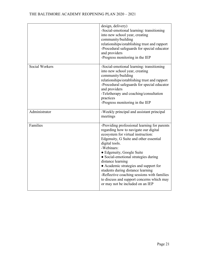|                       | design, delivery)<br>-Social-emotional learning: transitioning<br>into new school year, creating<br>community/building<br>relationships/establishing trust and rapport<br>-Procedural safeguards for special educator<br>and providers<br>-Progress monitoring in the IEP                                                                                                                                                                                                                                     |
|-----------------------|---------------------------------------------------------------------------------------------------------------------------------------------------------------------------------------------------------------------------------------------------------------------------------------------------------------------------------------------------------------------------------------------------------------------------------------------------------------------------------------------------------------|
| <b>Social Workers</b> | -Social-emotional learning: transitioning<br>into new school year, creating<br>community/building<br>relationships/establishing trust and rapport<br>-Procedural safeguards for special educator<br>and providers<br>-Teletherapy and coaching/consultation<br>practices<br>-Progress monitoring in the IEP                                                                                                                                                                                                   |
| Administrator         | -Weekly principal and assistant principal<br>meetings                                                                                                                                                                                                                                                                                                                                                                                                                                                         |
| Families              | -Providing professional learning for parents<br>regarding how to navigate our digital<br>ecosystem for virtual instruction:<br>Edgenuity, G Suite and other essential<br>digital tools.<br>-Webinars:<br>• Edgenuity, Google Suite<br>• Social-emotional strategies during<br>distance learning<br>• Academic strategies and support for<br>students during distance learning<br>-Reflective coaching sessions with families<br>to discuss and support concerns which may<br>or may not be included on an IEP |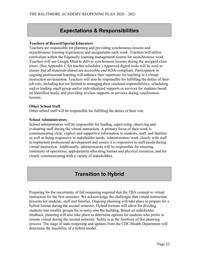## **Expectations & Responsibilities**

#### **Teachers of Record/Special Educators**

Teachers are responsible for planning and providing synchronous lessons and asynchronous learning experiences and assignments each week. Teachers will utilize curriculum within the Edgenuity learning management system for asynchronous work. Teachers will use Google Meet to deliver synchronous lessons during the assigned class times. (See Appendix C for teacher schedules.) Approved digital tools will be used to ensure that all materials shared are accessible and ADA-compliant. Participation in ongoing professional learning will enhance their repertoire for teaching in a virtual instruction environment. Teachers will also be responsible for fulfilling the duties of their job role, including but not limited to managing their caseload responsibilities, scheduling and/or leading small group and/or individualized supports or services for students based on identified needs, and providing in-class supports or services during synchronous lessons.

#### **Other School Staff**

Other school staff will be responsible for fulfilling the duties of their role.

#### **School Administrators**

School administrators will be responsible for leading, supervising, observing and evaluating staff during the virtual instruction. A primary focus of their work is communicating clear, explicit and supportive information to students, staff, and families as well as being responsive to stakeholder needs. Administrators work closely with staff to implement professional development and ensure it is responsive to staff needs during virtual instruction. Additionally, administrators will be responsible for ensuring continuity of operations, appropriately allocating human and physical resources, and for clearly communicating with a variety of stakeholders.

## **Transition to Hybrid**

Preparing for the uncertainty of fall reopening required that the TBA commit to virtual instruction for the first semester. We acknowledge the challenges that virtual instruction presents for students, staff and families. Ongoing planning will take place to prepare for a hybrid format during the second semester. Hybrid formats will allow for dividing students into smaller groups for re-entry into the building. Based on stakeholder feedback, planning will also take place to determine options for students who prefer to remain virtual during the second semester. Safety is at the forefront of this planning process. The stage of state reopening and updates from the CDC/Health Department will determine the feasibility of a hybrid model.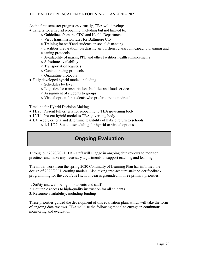As the first semester progresses virtually, TBA will develop:

- Criteria for a hybrid reopening, including but not limited to:
	- Guidelines from the CDC and Health Department
	- Virus transmission rates for Baltimore City
	- Training for staff and students on social distancing

○ Facilities preparation: purchasing air purifiers, classroom capacity planning and cleaning protocols

- Availability of masks, PPE and other facilities health enhancements
- Substitute availability
- Transportation logistics
- Contact tracing protocols
- Quarantine protocols
- Fully developed hybrid model, including:
	- Schedules by level
	- Logistics for transportation, facilities and food services
	- Assignment of students to groups
	- Virtual option for students who prefer to remain virtual

Timeline for Hybrid Decision Making

- 11/23: Present full criteria for reopening to TBA governing body
- 12/14: Present hybrid model to TBA governing body
- 1/4: Apply criteria and determine feasibility of hybrid return to schools  $\circ$  1/4-1/22: Student scheduling for hybrid or virtual options

## **Ongoing Evaluation**

Throughout 2020/2021, TBA staff will engage in ongoing data reviews to monitor practices and make any necessary adjustments to support teaching and learning.

The initial work from the spring 2020 Continuity of Learning Plan has informed the design of 2020/2021 learning models. Also taking into account stakeholder feedback, programming for the 2020/2021 school year is grounded in three primary priorities:

- 1. Safety and well-being for students and staff
- 2. Equitable access to high-quality instruction for all students
- 3. Resource availability, including funding

These priorities guided the development of this evaluation plan, which will take the form of ongoing data reviews. TBA will use the following model to engage in continuous monitoring and evaluation.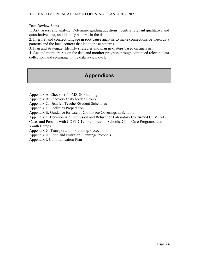Data Review Steps

1. Ask, assess and analyze: Determine guiding questions, identify relevant qualitative and quantitative data, and identify patterns in the data.

2. Interpret and connect: Engage in root-cause analysis to make connections between data patterns and the local context that led to those patterns.

3. Plan and strategize: Identify strategies and plan next steps based on analysis.

4. Act and monitor: Act on the data and monitor progress through continued relevant data collection, and re-engage in the data review cycle.

## **Appendices**

Appendix A: Checklist for MSDE Planning

Appendix B: Recovery Stakeholder Group

Appendix C: Detailed Teacher/Student Schedules

Appendix D: Facilities Preparation

Appendix E: Guidance for Use of Cloth Face Coverings in Schools

Appendix F: Decision Aid: Exclusion and Return for Laboratory Confirmed COVID-19

Cases and Persons with COVID-19 like Illness in Schools, Child Care Programs, and Youth Camps

Appendix G: Transportation Planning/Protocols

Appendix H: Food and Nutrition Planning/Protocols

Appendix I: Communication Plan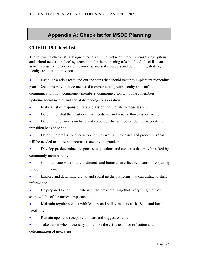## **Appendix A: Checklist for MSDE Planning**

## **COVID-19 Checklist**

The following checklist is designed to be a simple, yet useful tool in prioritizing system and school needs as school systems plan for the reopening of schools. A checklist can assist in organizing personnel, resources, and stake holders and determining student, faculty, and community needs. …

• Establish a crisis team and outline steps that should occur to implement reopening plans. Decisions may include means of communicating with faculty and staff, communication with community members, communication with board members, updating social media, and social distancing considerations. …

Make a list of responsibilities and assign individuals to those tasks ...

• Determine what the most essential needs are and resolve those issues first. …

• Determine resources on hand and resources that will be needed to successfully transition back to school. …

• Determine professional development, as well as, processes and procedures that will be needed to address concerns created by the pandemic...

• Develop predetermined responses to questions and concerns that may be asked by community members. …

• Communicate with your constituents and brainstorm effective means of reopening school with them. …

Explore and determine digital and social media platforms that can utilize to share information. …

• Be prepared to communicate with the press realizing that everything that you share will be of the utmost importance. …

• Maintain regular contact with leaders and policy-makers at the State and local levels. …

Remain open and receptive to ideas and suggestions. ...

Take action when necessary and utilize the crisis team for reflection and determination of next steps.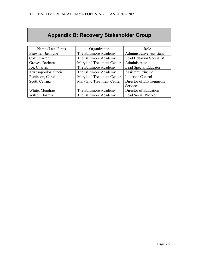## **Appendix B: Recovery Stakeholder Group**

| Name (Last, First)    | Organization                     | Role                            |
|-----------------------|----------------------------------|---------------------------------|
| Brawner, Jasmyne      | The Baltimore Academy            | <b>Administrative Assistant</b> |
| Cole, Darren          | The Baltimore Academy            | Lead Behavior Specialist        |
| Groves, Barbara       | <b>Maryland Treatment Center</b> | Administrator                   |
| Ice, Charles          | The Baltimore Academy            | Lead Special Educator           |
| Kyritsopoulos, Stacie | The Baltimore Academy            | <b>Assistant Principal</b>      |
| Robinson, Carol       | Maryland Treatment Center        | <b>Infection Control</b>        |
| Scott, Catrina        | Maryland Treatment Center        | Director of Environmental       |
|                       |                                  | Services                        |
| White, Mundrae        | The Baltimore Academy            | Director of Education           |
| Wilson, Joshua        | The Baltimore Academy            | Lead Social Worker              |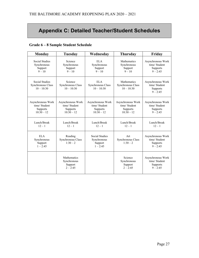## **Appendix C: Detailed Teacher/Student Schedules**

#### **Grade 6 – 8 Sample Student Schedule**

| <b>Monday</b>                                                  | <b>Tuesday</b>                                                | Wednesday                                                      | <b>Thursday</b>                                                | Friday                                                       |
|----------------------------------------------------------------|---------------------------------------------------------------|----------------------------------------------------------------|----------------------------------------------------------------|--------------------------------------------------------------|
| <b>Social Studies</b><br>Synchronous<br>Support<br>$9 - 10$    | Science<br>Synchronous<br>Support<br>$9 - 10$                 | <b>ELA</b><br>Synchronous<br>Support<br>$9 - 10$               | <b>Mathematics</b><br>Synchronous<br>Support<br>$9 - 10$       | Asynchronous Work<br>time/ Student<br>Supports<br>$9 - 2:45$ |
| <b>Social Studies</b><br>Synchronous Class<br>$10 - 10:30$     | Science<br>Synchronous Class<br>$10 - 10:30$                  | <b>ELA</b><br>Synchronous Class<br>$10 - 10:30$                | Mathematics<br>Synchronous Class<br>$10 - 10:30$               | Asynchronous Work<br>time/ Student<br>Supports<br>$9 - 2:45$ |
| Asynchronous Work<br>time/ Student<br>Supports<br>$10:30 - 12$ | Asynchronous Work<br>time/Student<br>Supports<br>$10:30 - 12$ | Asynchronous Work<br>time/ Student<br>Supports<br>$10:30 - 12$ | Asynchronous Work<br>time/ Student<br>Supports<br>$10:30 - 12$ | Asynchronous Work<br>time/ Student<br>Supports<br>$9 - 2:45$ |
| Lunch/Break<br>$12 - 1$                                        | Lunch/Break<br>$12 - 1$                                       | Lunch/Break<br>$12 - 1$                                        | Lunch/Break<br>$12 - 1$                                        | Lunch/Break<br>$12 - 1$                                      |
| <b>ELA</b><br>Synchronous<br>Support<br>$1 - 2:45$             | Reading<br>Synchronous Class<br>$1:30-2$                      | Social Studies<br>Synchronous<br>Support<br>$1 - 2:45$         | Art<br>Synchronous Class<br>$1:30-2$                           | Asynchronous Work<br>time/ Student<br>Supports<br>$9 - 2:45$ |
|                                                                | <b>Mathematics</b><br>Synchronous<br>Support<br>$2 - 2:45$    |                                                                | Science<br>Synchronous<br>Support<br>$2 - 2:45$                | Asynchronous Work<br>time/ Student<br>Supports<br>$9 - 2:45$ |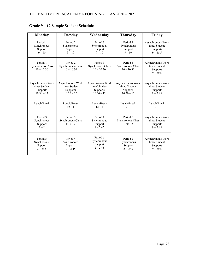| <b>Monday</b>                                 | <b>Tuesday</b>                                | Wednesday                                        | <b>Thursday</b>                               | Friday                                                       |
|-----------------------------------------------|-----------------------------------------------|--------------------------------------------------|-----------------------------------------------|--------------------------------------------------------------|
| Period 1                                      | Period 2                                      | Period 3                                         | Period 4                                      | Asynchronous Work                                            |
| Synchronous                                   | Synchronous                                   | Synchronous                                      | Synchronous                                   | time/ Student                                                |
| Support                                       | Support                                       | Support                                          | Support                                       | Supports                                                     |
| $9 - 10$                                      | $9 - 10$                                      | $9 - 10$                                         | $9 - 10$                                      | $9 - 2:45$                                                   |
| Period 1<br>Synchronous Class<br>$10 - 10:30$ | Period 2<br>Synchronous Class<br>$10 - 10:30$ | Period 3<br>Synchronous Class<br>$10 - 10:30$    | Period 4<br>Synchronous Class<br>$10 - 10:30$ | Asynchronous Work<br>time/ Student<br>Supports<br>$9 - 2:45$ |
| Asynchronous Work                             | Asynchronous Work                             | Asynchronous Work                                | Asynchronous Work                             | Asynchronous Work                                            |
| time/ Student                                 | time/ Student                                 | time/ Student                                    | time/ Student                                 | time/ Student                                                |
| Supports                                      | Supports                                      | Supports                                         | Supports                                      | Supports                                                     |
| $10:30 - 12$                                  | $10:30 - 12$                                  | $10:30 - 12$                                     | $10:30 - 12$                                  | $9 - 2:45$                                                   |
| Lunch/Break                                   | Lunch/Break                                   | Lunch/Break                                      | Lunch/Break                                   | Lunch/Break                                                  |
| $12 - 1$                                      | $12 - 1$                                      | $12 - 1$                                         | $12 - 1$                                      | $12 - 1$                                                     |
| Period 3<br>Synchronous<br>Support<br>$1 - 2$ | Period 5<br>Synchronous Class<br>$1:30-2$     | Period 1<br>Synchronous<br>Support<br>$1 - 2:45$ | Period 6<br>Synchronous Class<br>$1:30-2$     | Asynchronous Work<br>time/ Student<br>Supports<br>$9 - 2:45$ |
| Period 5                                      | Period 4                                      | Period 6                                         | Period <sub>2</sub>                           | Asynchronous Work                                            |
| Synchronous                                   | Synchronous                                   | Synchronous                                      | Synchronous                                   | time/ Student                                                |
| Support                                       | Support                                       | Support                                          | Support                                       | Supports                                                     |
| $2 - 2:45$                                    | $2 - 2:45$                                    | $2 - 2:45$                                       | $2 - 2:45$                                    | $9 - 2:45$                                                   |

**Grade 9 – 12 Sample Student Schedule**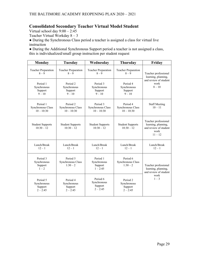#### **Consolidated Secondary Teacher Virtual Model Student**

Virtual school day  $9:00 - 2:45$ 

Teacher Virtual Workday 8 – 3

● During the Synchronous Class period a teacher is assigned a class for virtual live instruction

● During the Additional Synchronous Support period a teacher is not assigned a class, this is individualized/small group instruction per student request

| <b>Monday</b>                                    | <b>Tuesday</b>                                   | Wednesday                                        | <b>Thursday</b>                                  | Friday                                                                                    |
|--------------------------------------------------|--------------------------------------------------|--------------------------------------------------|--------------------------------------------------|-------------------------------------------------------------------------------------------|
| <b>Teacher Preparation</b><br>$8-9$              | <b>Teacher Preparation</b><br>$8-9$              | <b>Teacher Preparation</b><br>$8 - 9$            | <b>Teacher Preparation</b><br>$8 - 9$            | Teacher professional<br>learning, planning,<br>and review of student<br>work<br>$8 - 10$  |
| Period 1<br>Synchronous<br>Support<br>$9 - 10$   | Period 2<br>Synchronous<br>Support<br>$9 - 10$   | Period 3<br>Synchronous<br>Support<br>$9 - 10$   | Period 4<br>Synchronous<br>Support<br>$9 - 10$   |                                                                                           |
| Period 1<br>Synchronous Class<br>$10 - 10:30$    | Period 2<br>Synchronous Class<br>$10 - 10:30$    | Period 3<br>Synchronous Class<br>$10 - 10:30$    | Period 4<br>Synchronous Class<br>$10 - 10:30$    | <b>Staff Meeting</b><br>$10 - 11$                                                         |
| <b>Student Supports</b><br>$10:30 - 12$          | <b>Student Supports</b><br>$10:30 - 12$          | <b>Student Supports</b><br>$10:30 - 12$          | <b>Student Supports</b><br>$10:30 - 12$          | Teacher professional<br>learning, planning,<br>and review of student<br>work<br>$11 - 12$ |
| Lunch/Break<br>$12 - 1$                          | Lunch/Break<br>$12 - 1$                          | Lunch/Break<br>$12 - 1$                          | Lunch/Break<br>$12 - 1$                          | Lunch/Break<br>$12 - 1$                                                                   |
| Period 3<br>Synchronous<br>Support<br>$1 - 2$    | Period 5<br>Synchronous Class<br>$1:30-2$        | Period 1<br>Synchronous<br>Support<br>$1 - 2:45$ | Period 6<br>Synchronous Class<br>$1:30-2$        | Teacher professional<br>learning, planning,<br>and review of student                      |
| Period 5<br>Synchronous<br>Support<br>$2 - 2:45$ | Period 4<br>Synchronous<br>Support<br>$2 - 2:45$ | Period 6<br>Synchronous<br>Support<br>$2 - 2:45$ | Period 2<br>Synchronous<br>Support<br>$2 - 2:45$ | work<br>$1 - 3$                                                                           |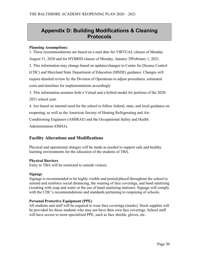## **Appendix D: Building Modifications & Cleaning Protocols**

#### **Planning Assumptions:**

1. These recommendations are based on a start date for VIRTUAL classes of Monday August 31, 2020 and for HYBRID classes of Monday, January 29February 1, 2021. 2. This information may change based on updates/changes to Center for Disease Control (CDC) and Maryland State Department of Education (MSDE) guidance. Changes will require detailed review by the Division of Operations to adjust procedures, estimated costs and timelines for implementations accordingly

3. This information assumes both a Virtual and a hybrid model for portions of the 2020- 2021 school year.

4. Are based on internal need for the school to follow federal, state, and local guidance on reopening; as well as the American Society of Heating Refrigerating and Air-Conditioning Engineers (ASHRAE) and the Occupational Safety and Health Administration (OSHA).

#### **Facility Alterations and Modifications**

Physical and operational changes will be made as needed to support safe and healthy learning environments for the education of the students of TBA.

#### **Physical Barriers**

Entry to TBA will be restricted to outside visitors.

#### **Signage**

Signage is recommended to be highly-visible and posted/placed throughout the school to remind and reinforce social distancing, the wearing of face coverings, and hand sanitizing (washing with soap and water or the use of hand sanitizing stations). Signage will comply with the CDC's recommendations and standards pertaining to reopening of schools.

#### **Personal Protective Equipment (PPE)**

All students and staff will be required to wear face coverings (masks). Stock supplies will be provided for those students who may not have their own face coverings. School staff will have access to more specialized PPE, such as face shields, gloves, etc.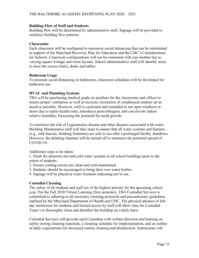#### **Building Flow of Staff and Students**

Building flow will be determined by administrative staff. Signage will be provided to reinforce building flow patterns.

#### **Classrooms**

Each classroom will be configured to maximize social distancing that can be maintained in support of the Maryland Recovery Plan for Education and the CDC's Considerations for Schools. Classroom configurations will not be consistent with one another due to varying square footage and room layouts. School administrative staff will identify areas to store the excess chairs, desks and tables.

#### **Bathroom Usage**

To promote social distancing in bathrooms, classroom schedules will be developed for bathroom use.

#### **HVAC and Plumbing Systems**

TBA will be purchasing medical grade air purifiers for the classrooms and offices to ensure proper ventilation as well as increase circulation of conditioned outdoor air as much as possible. However, staff is cautioned and reminded to not open windows or doors due to safety/health risks, introduces pests/allergens, and can elevate indoor relative humidity; Increasing the potential for mold growth.

To minimize the risk of Legionnaires disease and other diseases associated with water, Building Maintenance staff will take steps to ensure that all water systems and features (e.g., sink faucets, drinking fountains) are safe to use after a prolonged facility shutdown. However, the drinking fountain will be turned off to minimize the potential spread of COVID-19.

Additional steps to be taken:

1. Flush the domestic hot and cold water systems in all school buildings prior to the return of students.

- 2. Ensure cooling towers are clean and well-maintained.
- 3. Students should be encouraged to bring their own water bottles.
- 4. Signage will be placed at water fountain indicating not to use.

#### **Custodial Cleaning**

The safety of all students and staff are of the highest priority for the upcoming school year. For the Fall 2020 Virtual Learning (first semester), TBA Custodial Services is committed to adhering to all necessary cleaning protocols and precautionary guidelines outlined by the Maryland Department of Health and CDC. The physical absence of fullday instruction for students and limited access by staff will allow time for Custodial Team's to thoroughly clean and disinfect the building on a daily basis.

Custodial Services will provide each Custodian with written direction and training on safely storing cleaning materials, a cleaning schedule for implementation, and an outline of daily expectations for increased routine cleaning and disinfection. Instructions will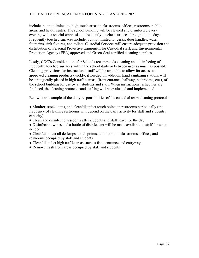include, but not limited to, high-touch areas in classrooms, offices, restrooms, public areas, and health suites. The school building will be cleaned and disinfected every evening with a special emphasis on frequently touched surfaces throughout the day. Frequently touched surfaces include, but not limited to, desks, door handles, water fountains, sink fixtures, and toilets. Custodial Services will ensure adequate provision and distribution of Personal Protective Equipment for Custodial staff, and Environmental Protection Agency (EPA) approved and Green-Seal certified cleaning supplies.

Lastly, CDC's Considerations for Schools recommends cleaning and disinfecting of frequently touched surfaces within the school daily or between uses as much as possible. Cleaning provisions for instructional staff will be available to allow for access to approved cleaning products quickly, if needed. In addition, hand sanitizing stations will be strategically placed in high traffic areas, (front entrance, hallway, bathrooms, etc.), of the school building for use by all students and staff. When instructional schedules are finalized, the cleaning protocols and staffing will be evaluated and implemented.

Below is an example of the daily responsibilities of the custodial team cleaning protocols:

• Monitor, stock items, and clean/disinfect touch points in restrooms periodically (the frequency of cleaning restrooms will depend on the daily activity for staff and students, capacity)

- Clean and disinfect classrooms after students and staff leave for the day
- Disinfectant wipes and a bottle of disinfectant will be made available to staff for when needed
- Clean/disinfect all desktops, touch points, and floors, in classrooms, offices, and restrooms occupied by staff and students
- Clean/disinfect high traffic areas such as front entrance and entryways
- Remove trash from areas occupied by staff and students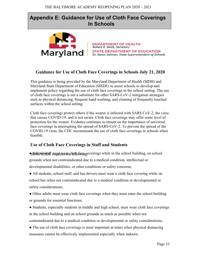## **Appendix E: Guidance for Use of Cloth Face Coverings In Schools**



**DEPARTMENT OF HEALTH**<br>Robert R. Neall, Secretary STATE DEPARTMENT OF EDUCATION Dr. Karen Salmon, State Superintendent of Schools

#### **Guidance for Use of Cloth Face Coverings in Schools July 21, 2020**

This guidance is being provided by the Maryland Department of Health (MDH) and Maryland State Department of Education (MSDE) to assist schools to develop and implement policy regarding the use of cloth face coverings in the school setting. The use of cloth face coverings is not a substitute for other SARS-CoV-2 mitigation strategies such as physical distancing, frequent hand washing, and cleaning of frequently touched surfaces within the school setting.

Cloth face coverings protect others if the wearer is infected with SARS CoV-2, the virus that causes COVID-19, and is not aware. Cloth face coverings may offer some level of protection for the wearer. Evidence continues to mount on the importance of universal face coverings in interrupting the spread of SARS-CoV-2. To prevent the spread of the COVID-19 virus, the CDC recommends the use of cloth face coverings in schools when feasible.

#### **Use of Cloth Face Coverings in Staff and Students**

MOHON SUL must weak cloth face coverings while in the school building, on school grounds when not contraindicated due to a medical condition, intellectual or developmental disabilities, or other conditions or safety concerns;

• All students, school staff, and bus drivers must wear a cloth face covering while on school bus when not contraindicated due to a medical condition or developmental or safety considerations;

• Other adults must wear cloth face coverings when they must enter the school building or grounds for essential functions;

• Students, especially students in middle and high school, must wear cloth face coverings in the school building and on school grounds as much as possible when not contraindicated due to a medical condition or developmental or safety considerations;

• The use of cloth face coverings is most important at times when physical distancing measures cannot be effectively implemented especially when indoors;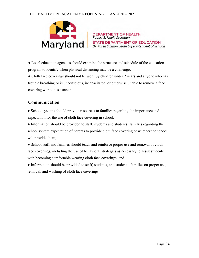#### THE BALTIMORE ACADEMY REOPENING PLAN 2020 – 2021



● Local education agencies should examine the structure and schedule of the education program to identify when physical distancing may be a challenge;

• Cloth face coverings should not be worn by children under 2 years and anyone who has trouble breathing or is unconscious, incapacitated, or otherwise unable to remove a face covering without assistance.

#### **Communication**

● School systems should provide resources to families regarding the importance and expectation for the use of cloth face covering in school;

• Information should be provided to staff, students and students' families regarding the school system expectation of parents to provide cloth face covering or whether the school will provide them;

• School staff and families should teach and reinforce proper use and removal of cloth face coverings, including the use of behavioral strategies as necessary to assist students with becoming comfortable wearing cloth face coverings; and

● Information should be provided to staff, students, and students' families on proper use, removal, and washing of cloth face coverings.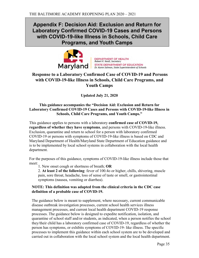## **Appendix F: Decision Aid: Exclusion and Return for Laboratory Confirmed COVID-19 Cases and Persons with COVID-19-like Illness in Schools, Child Care Programs, and Youth Camps**



**DEPARTMENT OF HEALTH**<br>Robert R. Neall, Secretary STATE DEPARTMENT OF EDUCATION Dr. Karen Salmon, State Superintendent of Schools

### **Response to a Laboratory Confirmed Case of COVID-19 and Persons with COVID-19-like Illness in Schools, Child Care Programs, and Youth Camps**

**Updated July 21, 2020**

#### **This guidance accompanies the "Decision Aid: Exclusion and Return for Laboratory Confirmed COVID-19 Cases and Persons with COVID-19-like Illness in Schools, Child Care Programs, and Youth Camps."**

This guidance applies to persons with a laboratory **confirmed case of COVID-19, regardless of whether they have symptoms**, and persons with COVID-19-like illness. Exclusion, quarantine and return to school for a person with laboratory confirmed COVID-19 or persons with symptoms of COVID-19-like illness is based on CDC and Maryland Department of Health/Maryland State Department of Education guidance and is to be implemented by local school systems in collaboration with the local health department.

For the purposes of this guidance, symptoms of COVID-19-like illness include those that meet:

1. New onset cough or shortness of breath; **OR**

2. **At least 2 of the following**: fever of 100.4o or higher, chills, shivering, muscle pain, sore throat, headache, loss of sense of taste or smell, or gastrointestinal symptoms (nausea, vomiting or diarrhea).

#### **NOTE: This definition was adapted from the clinical criteria in the CDC case definition of a probable case of COVID-19.**

The guidance below is meant to supplement, where necessary, current communicable disease outbreak investigation processes, current school health services illness management processes, and current local health department COVID-19 response processes. The guidance below is designed to expedite notification, isolation, and quarantine of school staff and/or students, as indicated, when a person notifies the school they/their child has a laboratory confirmed case of COVID-19, regardless of whether the person has symptoms, or exhibits symptoms of COVID-19- like illness. The specific processes to implement this guidance within each school system are to be developed and carried out in collaboration with the local school system and the local health department.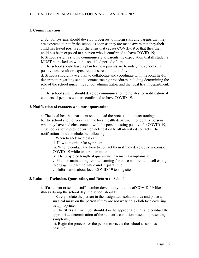#### **1. Communication**

a. School systems should develop processes to inform staff and parents that they are expected to notify the school as soon as they are made aware that they/their child has tested positive for the virus that causes COVID-19 or that they/their child has been exposed to a person who is confirmed to have COVID-19; b. School systems should communicate to parents the expectation that ill students MUST be picked up within a specified period of time;

c. The school should have a plan for how parents are to notify the school of a positive test result or exposure to ensure confidentiality;

d. Schools should have a plan to collaborate and coordinate with the local health department regarding school contact tracing procedures including determining the role of the school nurse, the school administrator, and the local health department; and

e. The school system should develop communication templates for notification of contacts of persons who are confirmed to have COVID-19.

#### **2. Notification of contacts who must quarantine**

a. The local health department should lead the process of contact tracing;

b. The school should work with the local health department to identify persons who may have had close contact with the person testing positive for COVID-19; c. Schools should provide written notification to all identified contacts. The notification should include the following:

i. When to seek medical care

ii. How to monitor for symptoms

iii. Who to contact and how to contact them if they develop symptoms of COVID-19 while under quarantine

iv. The projected length of quarantine if remain asymptomatic

v. Plan for maintaining remote learning for those who remain well enough to engage in learning while under quarantine

vi. Information about local COVID-19 testing sites

#### **3. Isolation, Exclusion, Quarantine, and Return to School**

a. If a student or school staff member develops symptoms of COVID-19-like illness during the school day, the school should:

i. Safely isolate the person in the designated isolation area and place a surgical mask on the person if they are not wearing a cloth face covering as appropriate;

ii. The SHS staff member should don the appropriate PPE and conduct the appropriate determination of the student's condition based on presenting symptoms;

iii. Begin the process for the person to vacate the school as soon as possible;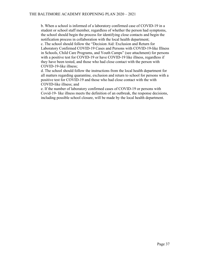b. When a school is informed of a laboratory confirmed case of COVID-19 in a student or school staff member, regardless of whether the person had symptoms, the school should begin the process for identifying close contacts and begin the notification process in collaboration with the local health department; c. The school should follow the "Decision Aid: Exclusion and Return for Laboratory Confirmed COVID-19 Cases and Persons with COVID-19-like Illness in Schools, Child Care Programs, and Youth Camps" (see attachment) for persons with a positive test for COVID-19 or have COVID-19 like illness, regardless if they have been tested, and those who had close contact with the person with

COVID-19-like illness;

d. The school should follow the instructions from the local health department for all matters regarding quarantine, exclusion and return to school for persons with a positive test for COVID-19 and those who had close contact with the with COVID-like illness; and

e. If the number of laboratory confirmed cases of COVID-19 or persons with Covid-19- like illness meets the definition of an outbreak, the response decisions, including possible school closure, will be made by the local health department.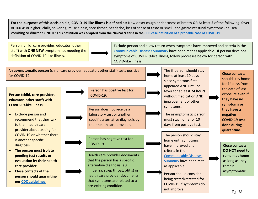**For the purposes of this decision aid, COVID-19-like illness is defined as:** New onset cough or shortness of breath **OR** At least **2** of the following: fever vomiting or diarrhea). **NOTE: This definition was adapted from the clinical criteria in the [CDC case definition of a probable case of COVID-19.](https://wwwn.cdc.gov/nndss/conditions/coronavirus-disease-2019-covid-19/case-definition/2020/)**  of 100.4° or higher, chills, shivering, muscle pain, sore throat, headache, loss of sense of taste or smell, and gastrointestinal symptoms (nausea,

 Person (child, care provider, educator, other  staff) with **ONE NEW** symptom not meeting the definition of COVID-19-like illness.

 Exclude person and allow return when symptoms have improved and criteria in the [Communicable Diseases Summary](https://mmcp.health.maryland.gov/epsdt/healthykids/Documents/Communicable_Diseases_Fact_Sheet.pdf) have been met as applicable. If person develops symptoms of COVID-19-like illness, follow processes below for person with COVID-like illness.

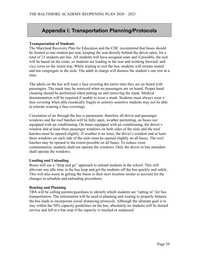## **Appendix I: Transportation Planning/Protocols**

#### **Transportation of Students**

The Maryland Recovery Plan for Education and the CDC recommend that buses should be limited to one student per seat, keeping the seat directly behind the driver open, for a total of 21 students per bus. All students will have assigned seats and if possible, the seat will be based on the route, so students are loading in the rear and working forward, and vice versa on the return trip. While waiting to exit the bus, students will remain seated and not congregate in the aisle. The adult in charge will dismiss the student's one row at a time.

The adults on the bus will wear a face covering the entire time they are on board with passengers. The mask may be removed when no passengers are on board. Proper hand cleaning should be performed when putting on and removing the mask. Medical documentation will be required if unable to wear a mask. Students must always wear a face covering when able (medically fragile or sensory-sensitive students may not be able to tolerate wearing a face covering).

Circulation of air through the bus is paramount; therefore all driver and passenger windows and the roof hatches will be fully open, weather permitting, on buses not equipped with air conditioning. On buses equipped with air conditioning, the driver's window and at least three passenger windows on both sides of the aisle and the roof hatches must be opened slightly. If weather is an issue, the driver's window and at least three windows on each side of the aisle must be opened slightly on all buses. The roof hatches may be opened to the extent possible on all buses. To reduce cross contamination, students shall not operate the windows. Only the driver or bus attendant shall operate the windows.

#### **Loading and Unloading**

Buses will use a "drop and go" approach to unload students at the school. This will alleviate any idle time in the bus loop and get the students off the bus quickly and safely. This will also assist in getting the buses to their next location sooner to account for the changes in schedule and unloading procedures.

#### **Routing and Planning**

TBA will be calling parents/guardians to identify which students are "opting in" for bus transportation. The information will be used in planning and routing to properly balance the bus loads to incorporate social distancing protocols. Although the ultimate goal is to stay within the 50% capacity guidelines on the bus, absolutely no students will be denied service and left at a bus stop if the capacity is reached or surpassed.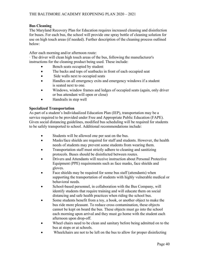#### **Bus Cleaning**

The Maryland Recovery Plan for Education requires increased cleaning and disinfection for buses. For each bus, the school will provide one spray bottle of cleaning solution for use on high touch areas (if needed). Further description of the cleaning process outlined below:

After each morning and/or afternoon route:

· The driver will clean high touch areas of the bus, following the manufacturer's instructions for the cleaning product being used. These include:

- Bench seats occupied by student
- The backs and tops of seatbacks in front of each occupied seat
- Side walls next to occupied seats
- Handles on all emergency exits and emergency windows if a student is seated next to one.
- Windows, window frames and ledges of occupied seats (again, only driver or bus attendant will open or close)
- Handrails in step well

#### **Specialized Transportation**

As part of a student's Individualized Education Plan (IEP), transportation may be a service required to be provided under Free and Appropriate Public Education (FAPE). Given social distancing guidelines, modified bus scheduling will be required for students to be safely transported to school. Additional recommendations include:

- Students will be allowed one per seat on the bus.
- Masks/face shields are required for staff and students. However, the health needs of students may prevent some students from wearing them.
- Transportation staff must strictly adhere to cleaning and sanitizing protocols. Buses should be disinfected between routes.
- Drivers and Attendants will receive instruction about Personal Protective Equipment (PPE) requirements such as face masks, face shields and gloves.
- Face shields may be required for some bus staff (attendants) when supporting the transportation of students with highly vulnerable medical or behavioral needs.
- School-based personnel, in collaboration with the Bus Company, will identify students that require training and will educate them on social distancing and safe health practices when riding the school bus.
- Some students benefit from a toy, a book, or another object to make the bus ride more pleasant. To reduce cross contamination, these objects cannot be kept on board the bus. These objects must go into the school each morning upon arrival and they must go home with the student each afternoon upon drop-off.
- Wheel chairs need to be clean and sanitary before being admitted on to the bus at stops or at schools.
- Wheelchairs are not to be left on the bus to allow for proper disinfecting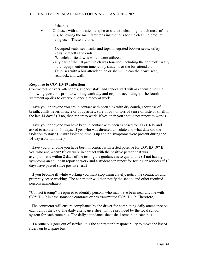of the bus.

- On buses with a bus attendant, he or she will clean high touch areas of the bus, following the manufacturer's instructions for the cleaning product being used. These include:
	- Occupied seats, seat backs and tops, integrated booster seats, safety vests, seatbelts and ends,
	- Wheelchair tie downs which were utilized,
	- any part of the lift gate which was touched, including the controller ü any other equipment/item touched by students or the bus attendant
	- · On buses with a bus attendant, he or she will clean their own seat, seatback, and wall.

#### **Response to COVID-19 Infections**

Contractors, drivers, attendants, support staff, and school staff will ask themselves the following questions prior to working each day and respond accordingly. The fourth statement applies to everyone, once already at work.

· Have you or anyone you are in contact with been sick with dry cough, shortness of breath, chills, fever, muscle or body aches, sore throat, or loss of sense of taste or smell in the last 14 days? (If no, then report to work. If yes, then you should not report to work.)

· Have you or anyone you have been in contact with been exposed to COVID-19 and asked to isolate for 14 days? If yes who was directed to isolate and what date did the isolation to start? (Ensure isolation time is up and no symptoms were present during the 14-day isolation time.)

· Have you or anyone you have been in contact with tested positive for COVID-19? If yes, who and when? If you were in contact with the positive person that was asymptomatic within 2 days of the testing the guidance is to quarantine (If not having symptoms an adult can report to work and a student can report for testing or services if 10 days have passed since positive test.)

· If you become ill while working you must stop immediately, notify the contractor and promptly cease working. The contractor will then notify the school and other required persons immediately.

"Contact tracing" is required to identify persons who may have been near anyone with COVID-19 in case someone contracts or has transmitted COVID-19. Therefore,

· The contractor will ensure compliance by the driver for completing daily attendance on each run of the day. The daily attendance sheet will be provided by the local school system for each route bus. The daily attendance sheet shall remain on each bus.

· If a route bus goes out of service, it is the contractor's responsibility to move the list of riders on to a spare bus.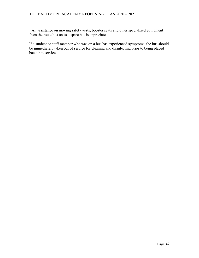#### THE BALTIMORE ACADEMY REOPENING PLAN 2020 – 2021

· All assistance on moving safety vests, booster seats and other specialized equipment from the route bus on to a spare bus is appreciated.

If a student or staff member who was on a bus has experienced symptoms, the bus should be immediately taken out of service for cleaning and disinfecting prior to being placed back into service.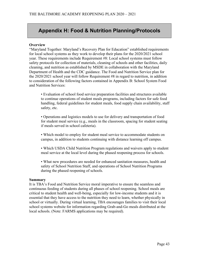## **Appendix H: Food & Nutrition Planning/Protocols**

#### **Overview**

"Maryland Together: Maryland's Recovery Plan for Education" established requirements for local school systems as they work to develop their plans for the 2020/2021 school year. These requirements include Requirement #8: Local school systems must follow safety protocols for collection of materials, cleaning of schools and other facilities, daily cleaning, and nutrition as established by MSDE in collaboration with the Maryland Department of Health and the CDC guidance. The Food and Nutrition Service plan for the 2020/2021 school year will follow Requirement #8 in regard to nutrition, in addition to consideration of the following factors contained in Appendix B: School System Food and Nutrition Services:

• Evaluation of school food service preparation facilities and structures available to continue operations of student meals programs, including factors for safe food handling, federal guidelines for student meals, food supply chain availability, staff safety, etc.

• Operations and logistics models to use for delivery and transportation of food for student meal service (e.g., meals in the classroom, spacing for student seating if meals served in school cafeteria).

• Which model to employ for student meal service to accommodate students on campus, in addition to students continuing with distance learning off campus.

• Which USDA Child Nutrition Program regulations and waivers apply to student meal service at the local level during the phased reopening process for schools.

• What new procedures are needed for enhanced sanitation measures, health and safety of School Nutrition Staff, and operations of School Nutrition Programs during the phased reopening of schools.

#### **Summary**

It is TBA's Food and Nutrition Service moral imperative to ensure the seamless and continuous feeding of students during all phases of school reopening. School meals are critical to student health and well-being, especially for low-income students and it is essential that they have access to the nutrition they need to learn, whether physically in school or virtually. During virtual learning, TBA encourages families to visit their local school systems website for information regarding Grab-and-Go meals distributed at the local schools. (Note: FARMS applications may be required).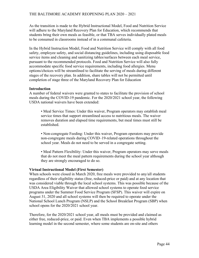As the transition is made to the Hybrid Instructional Model, Food and Nutrition Service will adhere to the Maryland Recovery Plan for Education, which recommends that students bring their own meals as feasible, or that TBA serves individually plated meals to be consumed in classrooms instead of in a communal cafeteria.

In the Hybrid Instruction Model, Food and Nutrition Service will comply with all food safety, employee safety, and social distancing guidelines, including using disposable food service items and cleaning and sanitizing tables/surfaces between each meal service, pursuant to the recommended protocols. Food and Nutrition Service will also fully accommodate specific food service requirements, including food allergies. Menu options/choices will be streamlined to facilitate the serving of meals during different stages of the recovery plan. In addition, share tables will not be permitted until completion of stage three of the Maryland Recovery Plan for Education

#### **Introduction**

A number of federal waivers were granted to states to facilitate the provision of school meals during the COVID-19 pandemic. For the 2020/2021 school year, the following USDA national waivers have been extended:

• Meal Service Times: Under this waiver, Program operators may establish meal service times that support streamlined access to nutritious meals. The waiver removes duration and elapsed time requirements, but meal times must still be established.

• Non-congregate Feeding: Under this waiver, Program operators may provide non-congregate meals during COVID–19-related operations throughout the school year. Meals do not need to be served in a congregate setting.

• Meal Pattern Flexibility: Under this waiver, Program operators may serve meals that do not meet the meal pattern requirements during the school year although they are strongly encouraged to do so.

#### **Virtual Instructional Model (First Semester)**

When schools were closed in March 2020, free meals were provided to any/all students regardless of their eligibility status (free, reduced-price or paid) and at any location that was considered viable through the local school systems. This was possible because of the USDA Area Eligibility Waiver that allowed school systems to operate food service programs under the Summer Food Service Program (SFSP). This waiver will expire on August 31, 2020 and all school systems will then be required to operate under the National School Lunch Program (NSLP) and the School Breakfast Program (SBP) when school opens for the 2020/2021 school year.

Therefore, for the 2020/2021 school year, all meals must be provided and claimed as either free, reduced-price, or paid. Even when TBA implements a possible hybrid learning model in the second semester, where some students are on-site and others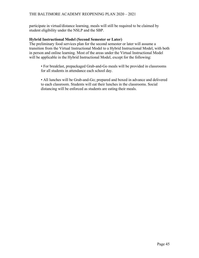participate in virtual/distance learning, meals will still be required to be claimed by student eligibility under the NSLP and the SBP.

#### **Hybrid Instructional Model (Second Semester or Later)**

The preliminary food services plan for the second semester or later will assume a transition from the Virtual Instructional Model to a Hybrid Instructional Model, with both in person and online learning. Most of the areas under the Virtual Instructional Model will be applicable in the Hybrid Instructional Model, except for the following:

• For breakfast, prepackaged Grab-and-Go meals will be provided in classrooms for all students in attendance each school day.

• All lunches will be Grab-and-Go; prepared and boxed in advance and delivered to each classroom. Students will eat their lunches in the classrooms. Social distancing will be enforced as students are eating their meals.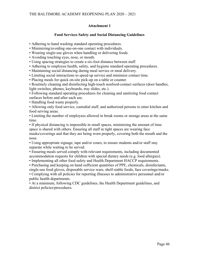#### **Attachment 1**

#### **Food Services Safety and Social Distancing Guidelines**

• Adhering to hand washing standard operating procedures.

- Minimizing/avoiding one-on-one contact with individuals.
- Wearing single-use gloves when handling or delivering foods.
- Avoiding touching eyes, nose, or mouth.
- Using spacing strategies to create a six-foot distance between staff.
- Adhering to employee health, safety, and hygiene standard operating procedures.
- Maintaining social distancing during meal service or meal delivery.
- Limiting social interactions to speed up service and minimize contact time.
- Placing meals for quick on-site pick-up on a table or counter.

• Routinely cleaning and disinfecting high-touch nonfood-contact surfaces (door handles, light switches, phones, keyboards, tray slides, etc.).

• Following standard operating procedures for cleaning and sanitizing food contact surfaces before and after each use.

• Handling food waste properly.

• Allowing only food service, custodial staff, and authorized persons to enter kitchen and food serving areas.

• Limiting the number of employees allowed in break rooms or storage areas at the same time.

• If physical distancing is impossible in small spaces, minimizing the amount of time space is shared with others. Ensuring all staff in tight spaces are wearing face masks/coverings and that they are being worn properly, covering both the mouth and the nose.

• Using appropriate signage, tape and/or cones, to ensure students and/or staff stay separate while waiting to be served.

• Ensuring meals served comply with relevant requirements, including documented accommodation requests for children with special dietary needs (e.g. food allergies).

• Implementing all other food safety and Health Department HACCP requirements.

• Purchasing and keeping on hand sufficient quantities of PPE, chemicals, disinfectants, single-use food gloves, disposable service ware, shelf-stable foods, face coverings/masks.

• Complying with all policies for reporting illnesses to administrative personnel and/or public health departments.

• At a minimum, following CDC guidelines, the Health Department guidelines, and district policies/procedures.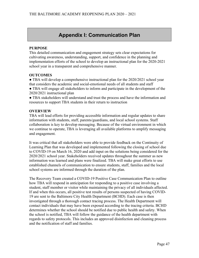## **Appendix I: Communication Plan**

#### **PURPOSE**

This detailed communication and engagement strategy sets clear expectations for cultivating awareness, understanding, support, and confidence in the planning and implementation efforts of the school to develop an instructional plan for the 2020-2021 school year in a transparent and comprehensive manner.

#### **OUTCOMES**

● TBA will develop a comprehensive instructional plan for the 2020/2021 school year that considers the academic and social-emotional needs of all students and staff

- TBA will engage all stakeholders to inform and participate in the development of the 2020/2021 instructional plan
- TBA stakeholders will understand and trust the process and have the information and resources to support TBA students in their return to instruction

#### **OVERVIEW**

TBA will lead efforts for providing accessible information and regular updates to share information with students, staff, parents/guardians, and local school systems. Staff collaboration is key to develop messaging. Because of the virtual environment in which we continue to operate, TBA is leveraging all available platforms to amplify messaging and engagement.

It was critical that all stakeholders were able to provide feedback on the Continuity of Learning Plan that was developed and implemented following the closing of school due to COVID-19 on March 16, 2020 and add input on the solutions being considered for the 2020/2021 school year. Stakeholders received updates throughout the summer as new information was learned and plans were finalized. TBA will make great efforts to use established channels of communication to ensure students, staff, families and the local school systems are informed through the duration of the plan.

The Recovery Team created a COVID-19 Positive Case Communication Plan to outline how TBA will respond in anticipation for responding to a positive case involving a student, staff member or visitor while maintaining the privacy of all individuals affected. If and when this occurs, all positive test results of persons suspected of having COVID-19 are sent to the Baltimore City Health Department (BCHD). Each case is then investigated through a thorough contact tracing process. The Health Department will contact individuals that may have been exposed according to the tracing criteria. BCHD determines whether the school should be notified due to public health and safety. When the school is notified, TBA will follow the guidance of the health department with regards to safety protocols. This includes an approved disinfection and cleaning process and the notification of staff and families.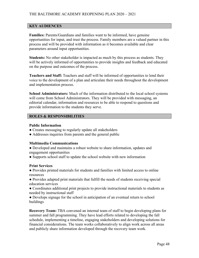#### **KEY AUDIENCES**

**Families:** Parents/Guardians and families want to be informed, have genuine opportunities for input, and trust the process. Family members are a valued partner in this process and will be provided with information as it becomes available and clear parameters around input opportunities.

**Students:** No other stakeholder is impacted as much by this process as students. They will be actively informed of opportunities to provide insights and feedback and educated on the purpose and outcomes of the process.

**Teachers and Staff:** Teachers and staff will be informed of opportunities to lend their voice to the development of a plan and articulate their needs throughout the development and implementation process.

**School Administrators:** Much of the information distributed to the local school systems will come from School Administrators. They will be provided with messaging, an editorial calendar, information and resources to be able to respond to questions and provide information to the students they serve.

#### **ROLES & RESPONSIBILITIES**

#### **Public Information**

- Creates messaging to regularly update all stakeholders
- Addresses inquiries from parents and the general public

#### **Multimedia Communications**

- Developed and maintains a robust website to share information, updates and engagement opportunities
- Supports school staff to update the school website with new information

#### **Print Services**

● Provides printed materials for students and families with limited access to online resources

● Provides adapted print materials that fulfill the needs of students receiving special education services

- Coordinates additional print projects to provide instructional materials to students as needed by instructional staff
- Develops signage for the school in anticipation of an eventual return to school buildings

**Recovery Team:** TBA convened an internal team of staff to begin developing plans for summer and fall programming. They have lead efforts related to developing the fall schedule, implementing a timeline, engaging stakeholders and developing solutions for financial considerations. The team works collaboratively to align work across all areas and publicly share information developed through the recovery team work.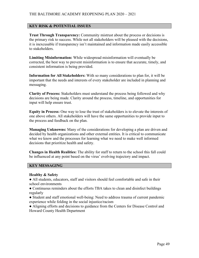#### **KEY RISK & POTENTIAL ISSUES**

**Trust Through Transparency:** Community mistrust about the process or decisions is the primary risk to success. While not all stakeholders will be pleased with the decisions, it is inexcusable if transparency isn't maintained and information made easily accessible to stakeholders.

**Limiting Misinformation:** While widespread misinformation will eventually be corrected, the best way to prevent misinformation is to ensure that accurate, timely, and consistent information is being provided.

**Information for All Stakeholders:** With so many considerations to plan for, it will be important that the needs and interests of every stakeholder are included in planning and messaging.

**Clarity of Process:** Stakeholders must understand the process being followed and why decisions are being made. Clarity around the process, timeline, and opportunities for input will help ensure trust.

**Equity in Process:** One way to lose the trust of stakeholders is to elevate the interests of one above others. All stakeholders will have the same opportunities to provide input to the process and feedback on the plan.

**Managing Unknowns:** Many of the considerations for developing a plan are driven and decided by health organizations and other external entities. It is critical to communicate what we know and the processes for learning what we need to make well informed decisions that prioritize health and safety.

**Changes in Health Realities:** The ability for staff to return to the school this fall could be influenced at any point based on the virus' evolving trajectory and impact.

#### **KEY MESSAGING**

#### **Healthy & Safety**

• All students, educators, staff and visitors should feel comfortable and safe in their school environments

● Continuous reminders about the efforts TBA takes to clean and disinfect buildings regularly

- Student and staff emotional well-being: Need to address trauma of current pandemic experience while folding in the social injustice/racism
- Aligning efforts and decisions to guidance from the Centers for Disease Control and Howard County Health Department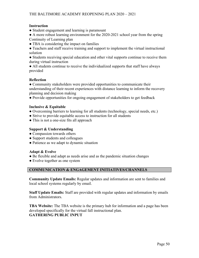#### **Instruction**

• Student engagement and learning is paramount

● A more robust learning environment for the 2020-2021 school year from the spring Continuity of Learning plan

• TBA is considering the impact on families

● Teachers and staff receive training and support to implement the virtual instructional solution

• Students receiving special education and other vital supports continue to receive them during virtual instruction

● All students continue to receive the individualized supports that staff have always provided

#### **Reflection**

● Community stakeholders were provided opportunities to communicate their understanding of their recent experiences with distance learning to inform the recovery planning and decision making

● Provide opportunities for ongoing engagement of stakeholders to get feedback

#### **Inclusive & Equitable**

- Overcoming barriers to learning for all students (technology, special needs, etc.)
- Strive to provide equitable access to instruction for all students
- This is not a one-size fits all approach

#### **Support & Understanding**

- Compassion towards others
- Support students and colleagues
- Patience as we adapt to dynamic situation

#### **Adapt & Evolve**

- Be flexible and adapt as needs arise and as the pandemic situation changes
- Evolve together as one system

#### **COMMUNICATION & ENGAGEMENT INITIATIVES/CHANNELS**

**Community Update Emails:** Regular updates and information are sent to families and local school systems regularly by email.

**Staff Update Emails:** Staff are provided with regular updates and information by emails from Administrators.

**TBA Website:** The TBA website is the primary hub for information and a page has been developed specifically for the virtual fall instructional plan. **GATHERING PUBLIC INPUT**